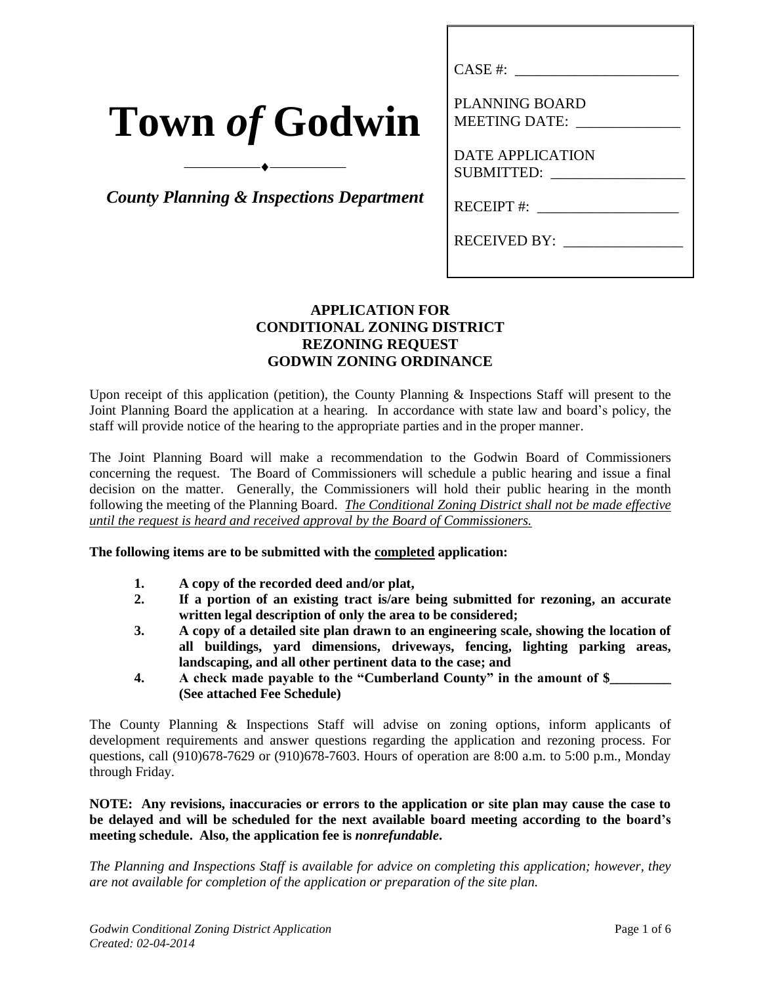|  | <b>Town of Godwin</b> |
|--|-----------------------|
|--|-----------------------|

*County Planning & Inspections Department*

 $\overbrace{\hspace{2.5cm}}^{\bullet}$ 

| CASE #:                                       |
|-----------------------------------------------|
| <b>PLANNING BOARD</b><br><b>MEETING DATE:</b> |
| <b>DATE APPLICATION</b><br><b>SUBMITTED:</b>  |
| <b>RECEIPT#:</b>                              |
| <b>RECEIVED BY:</b>                           |

# **APPLICATION FOR CONDITIONAL ZONING DISTRICT REZONING REQUEST GODWIN ZONING ORDINANCE**

Upon receipt of this application (petition), the County Planning & Inspections Staff will present to the Joint Planning Board the application at a hearing. In accordance with state law and board's policy, the staff will provide notice of the hearing to the appropriate parties and in the proper manner.

The Joint Planning Board will make a recommendation to the Godwin Board of Commissioners concerning the request. The Board of Commissioners will schedule a public hearing and issue a final decision on the matter. Generally, the Commissioners will hold their public hearing in the month following the meeting of the Planning Board. *The Conditional Zoning District shall not be made effective until the request is heard and received approval by the Board of Commissioners.*

#### **The following items are to be submitted with the completed application:**

- **1. A copy of the recorded deed and/or plat,**
- **2. If a portion of an existing tract is/are being submitted for rezoning, an accurate written legal description of only the area to be considered;**
- **3. A copy of a detailed site plan drawn to an engineering scale, showing the location of all buildings, yard dimensions, driveways, fencing, lighting parking areas, landscaping, and all other pertinent data to the case; and**
- **4. A check made payable to the "Cumberland County" in the amount of \$\_\_\_\_\_\_\_\_\_ (See attached Fee Schedule)**

The County Planning & Inspections Staff will advise on zoning options, inform applicants of development requirements and answer questions regarding the application and rezoning process. For questions, call (910)678-7629 or (910)678-7603. Hours of operation are 8:00 a.m. to 5:00 p.m., Monday through Friday.

**NOTE: Any revisions, inaccuracies or errors to the application or site plan may cause the case to be delayed and will be scheduled for the next available board meeting according to the board's meeting schedule. Also, the application fee is** *nonrefundable***.**

*The Planning and Inspections Staff is available for advice on completing this application; however, they are not available for completion of the application or preparation of the site plan.*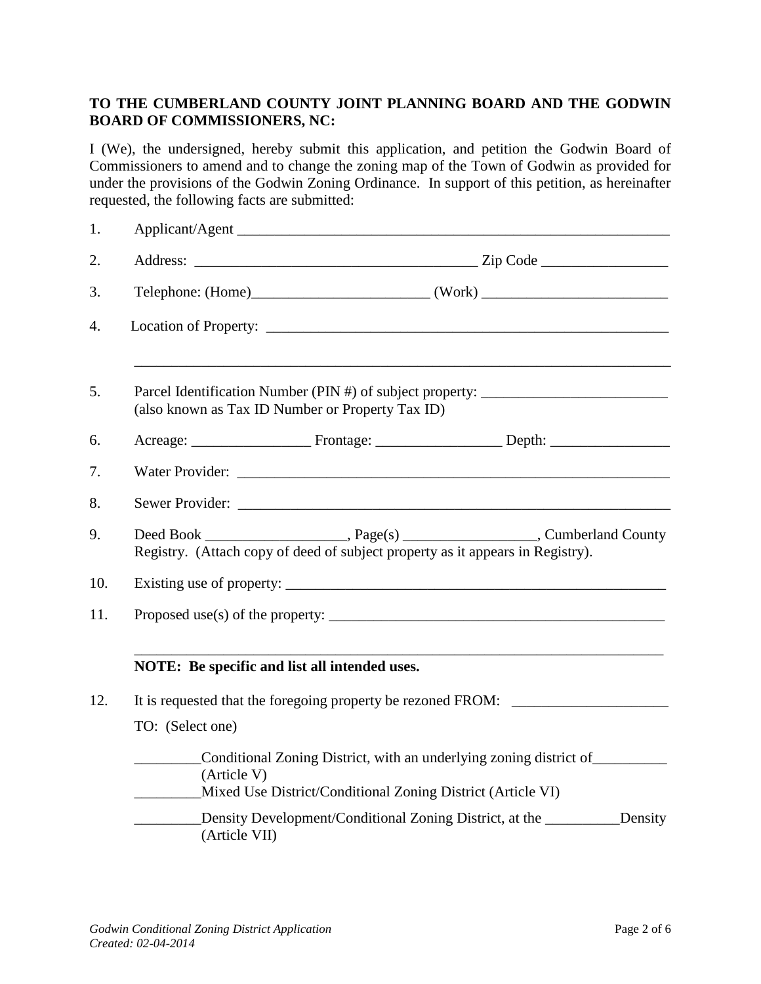# **TO THE CUMBERLAND COUNTY JOINT PLANNING BOARD AND THE GODWIN BOARD OF COMMISSIONERS, NC:**

I (We), the undersigned, hereby submit this application, and petition the Godwin Board of Commissioners to amend and to change the zoning map of the Town of Godwin as provided for under the provisions of the Godwin Zoning Ordinance. In support of this petition, as hereinafter requested, the following facts are submitted:

| 1.  |                                                                                                                                                                          |                                                                                                                                   |         |
|-----|--------------------------------------------------------------------------------------------------------------------------------------------------------------------------|-----------------------------------------------------------------------------------------------------------------------------------|---------|
| 2.  |                                                                                                                                                                          |                                                                                                                                   |         |
| 3.  |                                                                                                                                                                          |                                                                                                                                   |         |
| 4.  |                                                                                                                                                                          |                                                                                                                                   |         |
| 5.  | Parcel Identification Number (PIN #) of subject property: ______________________<br>(also known as Tax ID Number or Property Tax ID)                                     |                                                                                                                                   |         |
| 6.  |                                                                                                                                                                          |                                                                                                                                   |         |
| 7.  |                                                                                                                                                                          |                                                                                                                                   |         |
| 8.  |                                                                                                                                                                          |                                                                                                                                   |         |
| 9.  | Deed Book ________________________, Page(s) _______________________, Cumberland County<br>Registry. (Attach copy of deed of subject property as it appears in Registry). |                                                                                                                                   |         |
| 10. |                                                                                                                                                                          |                                                                                                                                   |         |
| 11. | Proposed use(s) of the property: $\sqrt{2}$                                                                                                                              |                                                                                                                                   |         |
|     | NOTE: Be specific and list all intended uses.                                                                                                                            |                                                                                                                                   |         |
| 12. | It is requested that the foregoing property be rezoned FROM: ___________________                                                                                         |                                                                                                                                   |         |
|     | TO: (Select one)                                                                                                                                                         |                                                                                                                                   |         |
|     | (Article V)                                                                                                                                                              | Conditional Zoning District, with an underlying zoning district of<br>Mixed Use District/Conditional Zoning District (Article VI) |         |
|     | (Article VII)                                                                                                                                                            | Density Development/Conditional Zoning District, at the _________________________                                                 | Density |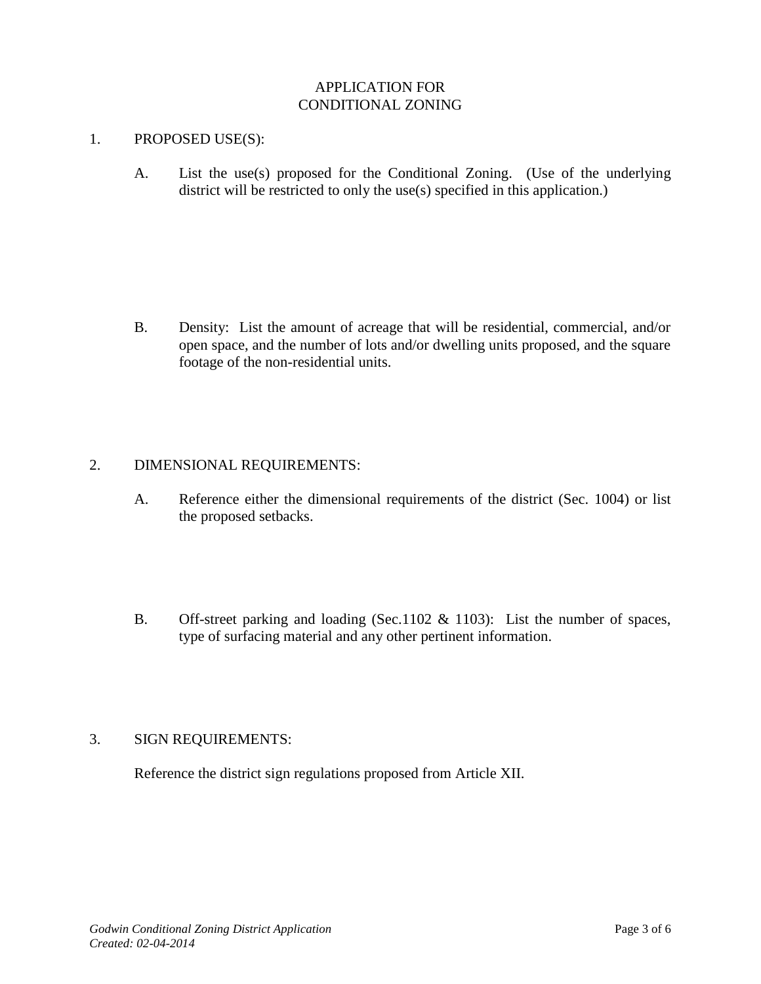# APPLICATION FOR CONDITIONAL ZONING

### 1. PROPOSED USE(S):

A. List the use(s) proposed for the Conditional Zoning. (Use of the underlying district will be restricted to only the use(s) specified in this application.)

B. Density: List the amount of acreage that will be residential, commercial, and/or open space, and the number of lots and/or dwelling units proposed, and the square footage of the non-residential units.

## 2. DIMENSIONAL REQUIREMENTS:

- A. Reference either the dimensional requirements of the district (Sec. 1004) or list the proposed setbacks.
- B. Off-street parking and loading (Sec.1102 & 1103): List the number of spaces, type of surfacing material and any other pertinent information.

# 3. SIGN REQUIREMENTS:

Reference the district sign regulations proposed from Article XII.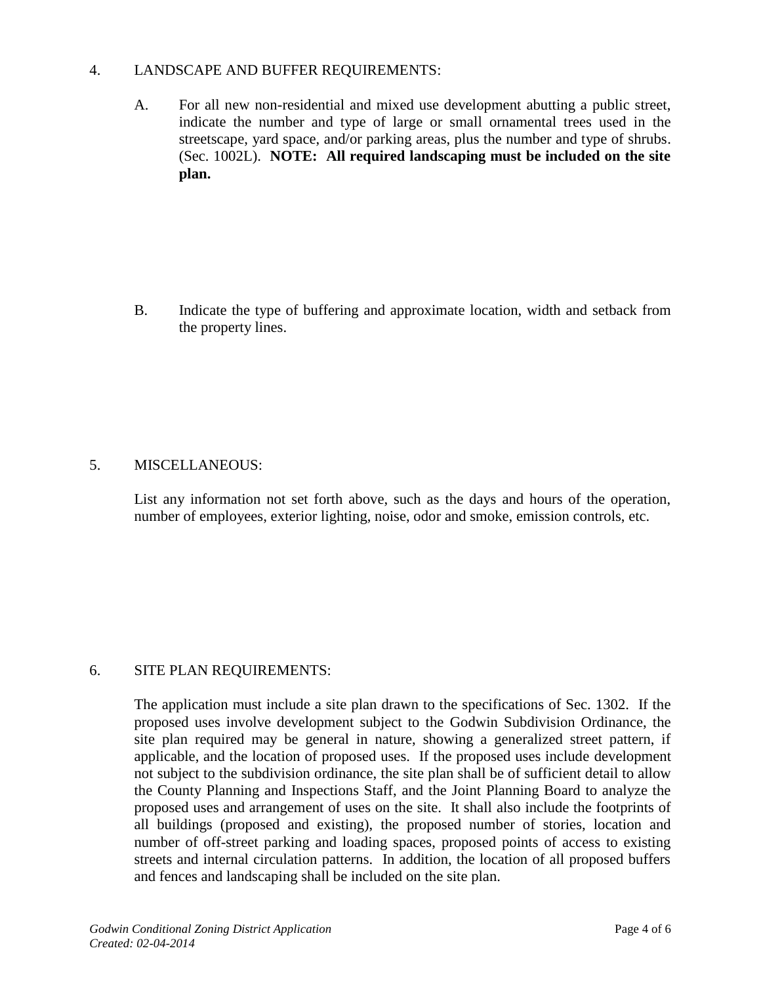## 4. LANDSCAPE AND BUFFER REQUIREMENTS:

A. For all new non-residential and mixed use development abutting a public street, indicate the number and type of large or small ornamental trees used in the streetscape, yard space, and/or parking areas, plus the number and type of shrubs. (Sec. 1002L). **NOTE: All required landscaping must be included on the site plan.**

B. Indicate the type of buffering and approximate location, width and setback from the property lines.

## 5. MISCELLANEOUS:

List any information not set forth above, such as the days and hours of the operation, number of employees, exterior lighting, noise, odor and smoke, emission controls, etc.

## 6. SITE PLAN REQUIREMENTS:

The application must include a site plan drawn to the specifications of Sec. 1302. If the proposed uses involve development subject to the Godwin Subdivision Ordinance, the site plan required may be general in nature, showing a generalized street pattern, if applicable, and the location of proposed uses. If the proposed uses include development not subject to the subdivision ordinance, the site plan shall be of sufficient detail to allow the County Planning and Inspections Staff, and the Joint Planning Board to analyze the proposed uses and arrangement of uses on the site. It shall also include the footprints of all buildings (proposed and existing), the proposed number of stories, location and number of off-street parking and loading spaces, proposed points of access to existing streets and internal circulation patterns. In addition, the location of all proposed buffers and fences and landscaping shall be included on the site plan.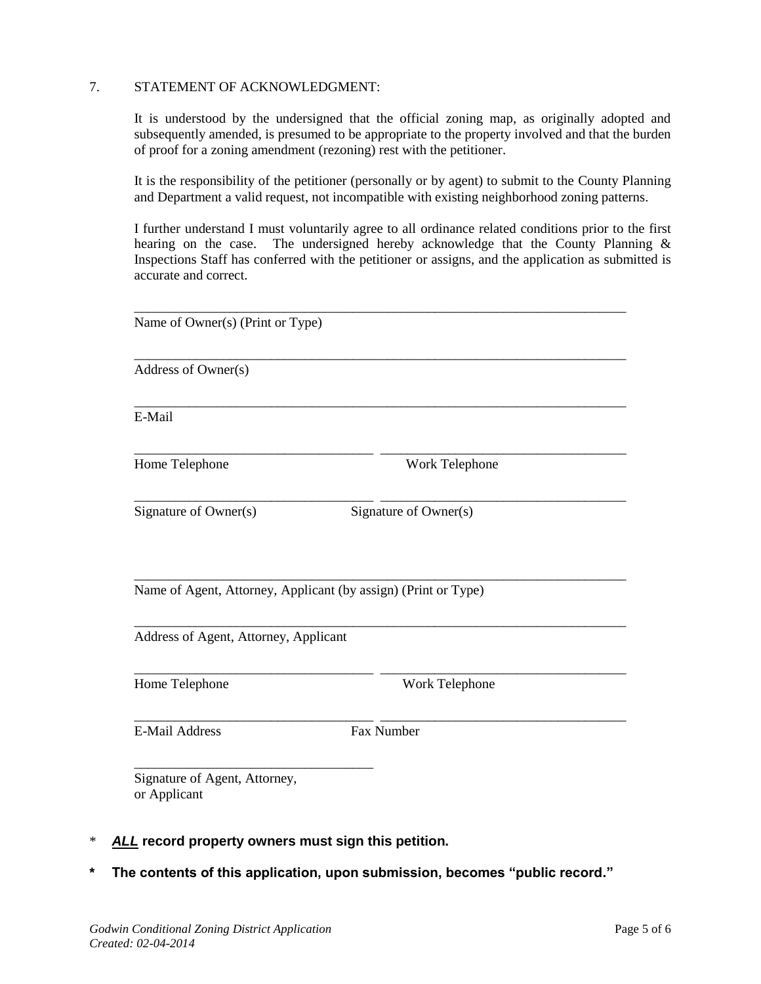#### 7. STATEMENT OF ACKNOWLEDGMENT:

It is understood by the undersigned that the official zoning map, as originally adopted and subsequently amended, is presumed to be appropriate to the property involved and that the burden of proof for a zoning amendment (rezoning) rest with the petitioner.

It is the responsibility of the petitioner (personally or by agent) to submit to the County Planning and Department a valid request, not incompatible with existing neighborhood zoning patterns.

I further understand I must voluntarily agree to all ordinance related conditions prior to the first hearing on the case. The undersigned hereby acknowledge that the County Planning & Inspections Staff has conferred with the petitioner or assigns, and the application as submitted is accurate and correct.

| Name of Owner(s) (Print or Type)                               |                |  |  |
|----------------------------------------------------------------|----------------|--|--|
| Address of Owner(s)                                            |                |  |  |
| E-Mail                                                         |                |  |  |
| Home Telephone                                                 | Work Telephone |  |  |
| Signature of Owner(s)<br>Signature of Owner(s)                 |                |  |  |
| Name of Agent, Attorney, Applicant (by assign) (Print or Type) |                |  |  |
| Address of Agent, Attorney, Applicant                          |                |  |  |
| Home Telephone                                                 | Work Telephone |  |  |
| <b>E-Mail Address</b>                                          | Fax Number     |  |  |
| Signature of Agent, Attorney,<br>or Applicant                  |                |  |  |

- \* *ALL* **record property owners must sign this petition.**
- **\* The contents of this application, upon submission, becomes "public record."**